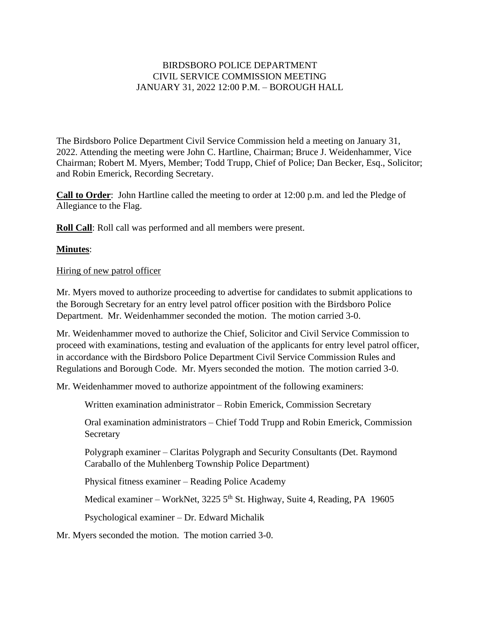## BIRDSBORO POLICE DEPARTMENT CIVIL SERVICE COMMISSION MEETING JANUARY 31, 2022 12:00 P.M. – BOROUGH HALL

The Birdsboro Police Department Civil Service Commission held a meeting on January 31, 2022. Attending the meeting were John C. Hartline, Chairman; Bruce J. Weidenhammer, Vice Chairman; Robert M. Myers, Member; Todd Trupp, Chief of Police; Dan Becker, Esq., Solicitor; and Robin Emerick, Recording Secretary.

**Call to Order**: John Hartline called the meeting to order at 12:00 p.m. and led the Pledge of Allegiance to the Flag.

**Roll Call**: Roll call was performed and all members were present.

## **Minutes**:

## Hiring of new patrol officer

Mr. Myers moved to authorize proceeding to advertise for candidates to submit applications to the Borough Secretary for an entry level patrol officer position with the Birdsboro Police Department. Mr. Weidenhammer seconded the motion. The motion carried 3-0.

Mr. Weidenhammer moved to authorize the Chief, Solicitor and Civil Service Commission to proceed with examinations, testing and evaluation of the applicants for entry level patrol officer, in accordance with the Birdsboro Police Department Civil Service Commission Rules and Regulations and Borough Code. Mr. Myers seconded the motion. The motion carried 3-0.

Mr. Weidenhammer moved to authorize appointment of the following examiners:

Written examination administrator – Robin Emerick, Commission Secretary

Oral examination administrators – Chief Todd Trupp and Robin Emerick, Commission **Secretary** 

Polygraph examiner – Claritas Polygraph and Security Consultants (Det. Raymond Caraballo of the Muhlenberg Township Police Department)

Physical fitness examiner – Reading Police Academy

Medical examiner – WorkNet, 3225 5<sup>th</sup> St. Highway, Suite 4, Reading, PA 19605

Psychological examiner – Dr. Edward Michalik

Mr. Myers seconded the motion. The motion carried 3-0.